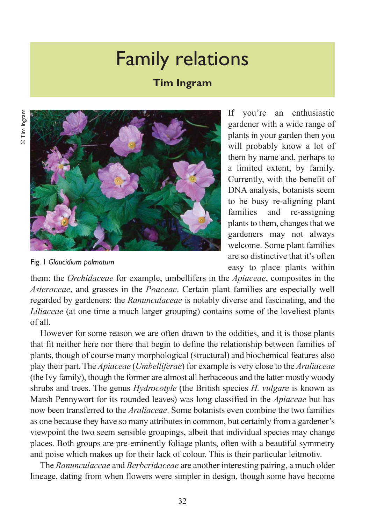## Family relations

## **Tim Ingram**



If you're an enthusiastic gardener with a wide range of plants in your garden then you will probably know a lot of them by name and, perhaps to a limited extent, by family. Currently, with the benefit of DNA analysis, botanists seem to be busy re-aligning plant families and re-assigning plants to them, changes that we gardeners may not always welcome. Some plant families are so distinctive that it's often easy to place plants within

Fig. 1 *Glaucidium palmatum*

them: the *Orchidaceae* for example, umbellifers in the *Apiaceae*, composites in the *Asteraceae*, and grasses in the *Poaceae*. Certain plant families are especially well regarded by gardeners: the *Ranunculaceae* is notably diverse and fascinating, and the *Liliaceae* (at one time a much larger grouping) contains some of the loveliest plants of all.

However for some reason we are often drawn to the oddities, and it is those plants that fit neither here nor there that begin to define the relationship between families of plants, though of course many morphological (structural) and biochemical features also play their part. The *Apiaceae* (*Umbelliferae*) for example is very close to the *Araliaceae* (the Ivy family), though the former are almost all herbaceous and the latter mostly woody shrubs and trees. The genus *Hydrocotyle* (the British species *H. vulgare* is known as Marsh Pennywort for its rounded leaves) was long classified in the *Apiaceae* but has now been transferred to the *Araliaceae*. Some botanists even combine the two families as one because they have so many attributes in common, but certainly from a gardener's viewpoint the two seem sensible groupings, albeit that individual species may change places. Both groups are pre-eminently foliage plants, often with a beautiful symmetry and poise which makes up for their lack of colour. This is their particular leitmotiv.

The *Ranunculaceae* and *Berberidaceae* are another interesting pairing, a much older lineage, dating from when flowers were simpler in design, though some have become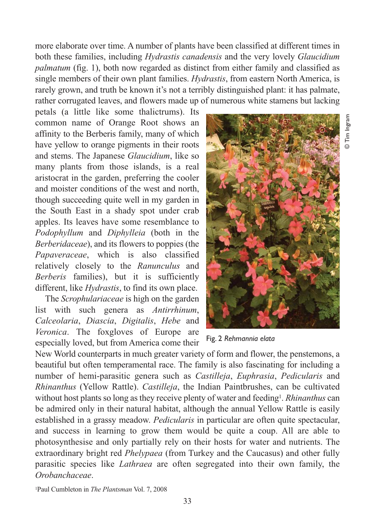more elaborate over time. A number of plants have been classified at different times in both these families, including *Hydrastis canadensis* and the very lovely *Glaucidium palmatum* (fig. 1), both now regarded as distinct from either family and classified as single members of their own plant families. *Hydrastis*, from eastern North America, is rarely grown, and truth be known it's not a terribly distinguished plant: it has palmate, rather corrugated leaves, and flowers made up of numerous white stamens but lacking

petals (a little like some thalictrums). Its common name of Orange Root shows an affinity to the Berberis family, many of which have yellow to orange pigments in their roots and stems. The Japanese *Glaucidium*, like so many plants from those islands, is a real aristocrat in the garden, preferring the cooler and moister conditions of the west and north, though succeeding quite well in my garden in the South East in a shady spot under crab apples. Its leaves have some resemblance to *Podophyllum* and *Diphylleia* (both in the *Berberidaceae*), and its flowers to poppies (the *Papaveraceae*, which is also classified relatively closely to the *Ranunculus* and *Berberis* families), but it is sufficiently different, like *Hydrastis*, to find its own place.

The *Scrophulariaceae* is high on the garden list with such genera as *Antirrhinum*, *Calceolaria*, *Diascia*, *Digitalis*, *Hebe* and *Veronica*. The foxgloves of Europe are especially loved, but from America come their



© Tim Ingram

Tim Ingram

Fig. 2 *Rehmannia elata*

New World counterparts in much greater variety of form and flower, the penstemons, a beautiful but often temperamental race. The family is also fascinating for including a number of hemi-parasitic genera such as *Castilleja*, *Euphrasia*, *Pedicularis* and *Rhinanthus* (Yellow Rattle). *Castilleja*, the Indian Paintbrushes, can be cultivated without host plants so long as they receive plenty of water and feeding<sup>1</sup>. *Rhinanthus* can be admired only in their natural habitat, although the annual Yellow Rattle is easily established in a grassy meadow. *Pedicularis* in particular are often quite spectacular, and success in learning to grow them would be quite a coup. All are able to photosynthesise and only partially rely on their hosts for water and nutrients. The extraordinary bright red *Phelypaea* (from Turkey and the Caucasus) and other fully parasitic species like *Lathraea* are often segregated into their own family, the *Orobanchaceae*.

1Paul Cumbleton in *The Plantsman* Vol. 7, 2008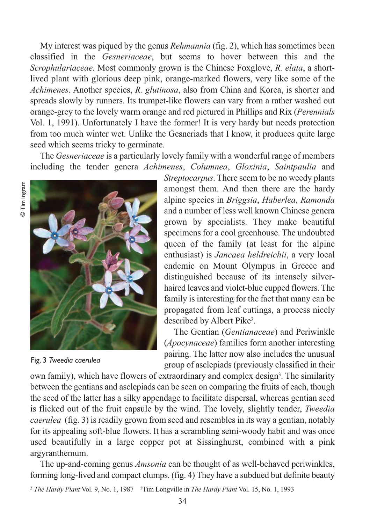My interest was piqued by the genus *Rehmannia* (fig. 2), which has sometimes been classified in the *Gesneriaceae*, but seems to hover between this and the *Scrophulariaceae*. Most commonly grown is the Chinese Foxglove, *R. elata*, a shortlived plant with glorious deep pink, orange-marked flowers, very like some of the *Achimenes*. Another species, *R. glutinosa*, also from China and Korea, is shorter and spreads slowly by runners. Its trumpet-like flowers can vary from a rather washed out orange-grey to the lovely warm orange and red pictured in Phillips and Rix (*Perennials* Vol. 1, 1991). Unfortunately I have the former! It is very hardy but needs protection from too much winter wet. Unlike the Gesneriads that I know, it produces quite large seed which seems tricky to germinate.

The *Gesneriaceae* is a particularly lovely family with a wonderful range of members including the tender genera *Achimenes*, *Columnea*, *Gloxinia*, *Saintpaulia* and



Fig. 3 *Tweedia caerulea*

*Streptocarpus*. There seem to be no weedy plants amongst them. And then there are the hardy alpine species in *Briggsia*, *Haberlea*, *Ramonda* and a number of less well known Chinese genera grown by specialists. They make beautiful specimens for a cool greenhouse. The undoubted queen of the family (at least for the alpine enthusiast) is *Jancaea heldreichii*, a very local endemic on Mount Olympus in Greece and distinguished because of its intensely silverhaired leaves and violet-blue cupped flowers. The family is interesting for the fact that many can be propagated from leaf cuttings, a process nicely described by Albert Pike2.

The Gentian (*Gentianaceae*) and Periwinkle (*Apocynaceae*) families form another interesting pairing. The latter now also includes the unusual group of asclepiads (previously classified in their

own family), which have flowers of extraordinary and complex design<sup>3</sup>. The similarity between the gentians and asclepiads can be seen on comparing the fruits of each, though the seed of the latter has a silky appendage to facilitate dispersal, whereas gentian seed is flicked out of the fruit capsule by the wind. The lovely, slightly tender, *Tweedia caerulea* (fig. 3) is readily grown from seed and resembles in its way a gentian, notably for its appealing soft-blue flowers. It has a scrambling semi-woody habit and was once used beautifully in a large copper pot at Sissinghurst, combined with a pink argyranthemum.

The up-and-coming genus *Amsonia* can be thought of as well-behaved periwinkles, forming long-lived and compact clumps. (fig. 4) They have a subdued but definite beauty

<sup>2</sup> The Hardy Plant Vol. 9, No. 1, 1987 <sup>3</sup>Tim Longville in *The Hardy Plant* Vol. 15, No. 1, 1993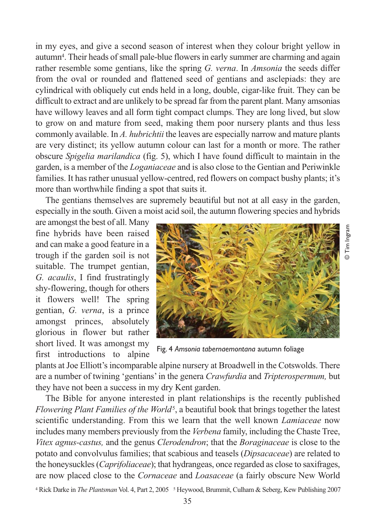in my eyes, and give a second season of interest when they colour bright yellow in autumn4. Their heads of small pale-blue flowers in early summer are charming and again rather resemble some gentians, like the spring *G. verna*. In *Amsonia* the seeds differ from the oval or rounded and flattened seed of gentians and asclepiads: they are cylindrical with obliquely cut ends held in a long, double, cigar-like fruit. They can be difficult to extract and are unlikely to be spread far from the parent plant. Many amsonias have willowy leaves and all form tight compact clumps. They are long lived, but slow to grow on and mature from seed, making them poor nursery plants and thus less commonly available. In *A. hubrichtii* the leaves are especially narrow and mature plants are very distinct; its yellow autumn colour can last for a month or more. The rather obscure *Spigelia marilandica* (fig. 5), which I have found difficult to maintain in the garden, is a member of the *Loganiaceae* and is also close to the Gentian and Periwinkle families. It has rather unusual yellow-centred, red flowers on compact bushy plants; it's more than worthwhile finding a spot that suits it.

The gentians themselves are supremely beautiful but not at all easy in the garden, especially in the south. Given a moist acid soil, the autumn flowering species and hybrids

are amongst the best of all. Many fine hybrids have been raised and can make a good feature in a trough if the garden soil is not suitable. The trumpet gentian, *G. acaulis*, I find frustratingly shy-flowering, though for others it flowers well! The spring gentian, *G. verna*, is a prince amongst princes, absolutely glorious in flower but rather short lived. It was amongst my first introductions to alpine



© Tim Ingram

Fig. 4 *Amsonia tabernaemontana* autumn foliage

plants at Joe Elliott's incomparable alpine nursery at Broadwell in the Cotswolds. There are a number of twining 'gentians' in the genera *Crawfurdia* and *Tripterospermum,* but they have not been a success in my dry Kent garden.

The Bible for anyone interested in plant relationships is the recently published *Flowering Plant Families of the World<sup>5</sup>*, a beautiful book that brings together the latest scientific understanding. From this we learn that the well known *Lamiaceae* now includes many members previously from the *Verbena* family, including the Chaste Tree, *Vitex agnus-castus,* and the genus *Clerodendron*; that the *Boraginaceae* is close to the potato and convolvulus families; that scabious and teasels (*Dipsacaceae*) are related to the honeysuckles (*Caprifoliaceae*); that hydrangeas, once regarded as close to saxifrages, are now placed close to the *Cornaceae* and *Loasaceae* (a fairly obscure New World

<sup>4</sup> Rick Darke in *The Plantsman* Vol. 4, Part 2, 2005 <sup>5</sup> Heywood, Brummit, Culham & Seberg, Kew Publishing 2007